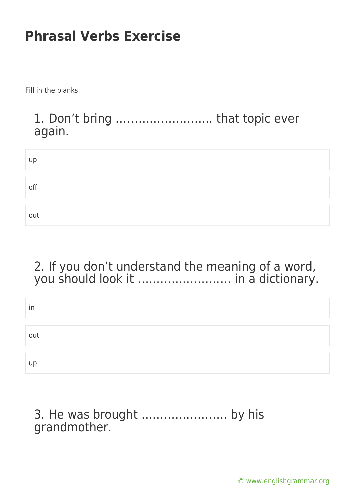Fill in the blanks.

#### 1. Don't bring …………………….. that topic ever again.

| up  |  |  |  |
|-----|--|--|--|
|     |  |  |  |
| off |  |  |  |
|     |  |  |  |
| out |  |  |  |

#### 2. If you don't understand the meaning of a word, you should look it ……………………. in a dictionary.

| in  |  |  |
|-----|--|--|
|     |  |  |
| out |  |  |
|     |  |  |
| up  |  |  |

#### 3. He was brought ………………….. by his grandmother.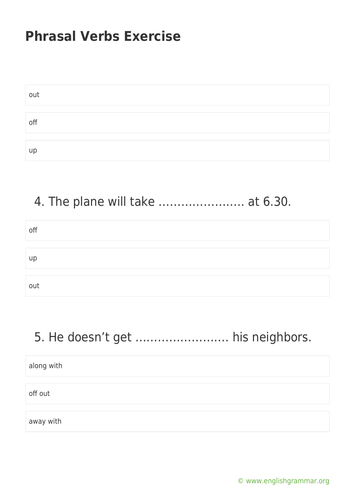| out |  |
|-----|--|
|     |  |
| off |  |
|     |  |
| up  |  |

## 4. The plane will take ………………….. at 6.30.

| off |  |  |
|-----|--|--|
|     |  |  |
|     |  |  |
| up  |  |  |
|     |  |  |
|     |  |  |
| out |  |  |

### 5. He doesn't get ……………………. his neighbors.

| along with |  |  |  |
|------------|--|--|--|
|            |  |  |  |
| off out    |  |  |  |
|            |  |  |  |
| away with  |  |  |  |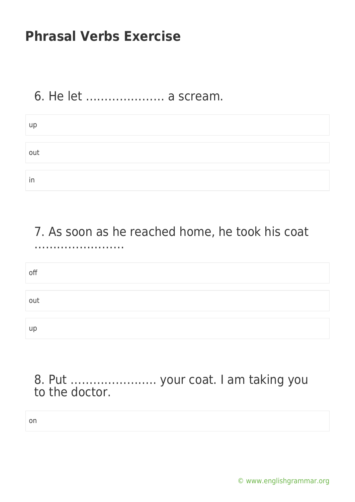### 6. He let ………………… a scream.

| up  |  |
|-----|--|
|     |  |
| out |  |
|     |  |
| in  |  |

7. As soon as he reached home, he took his coat ……………………

off out up

8. Put ………………….. your coat. I am taking you to the doctor.

on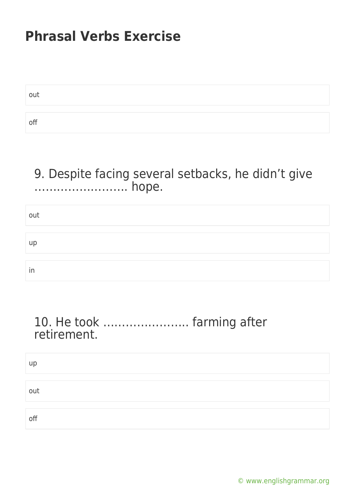| out |  |
|-----|--|
|     |  |
| off |  |

#### 9. Despite facing several setbacks, he didn't give ……………………. hope.

| out |  |  |
|-----|--|--|
|     |  |  |
| up  |  |  |
|     |  |  |
| in  |  |  |

#### 10. He took ………………….. farming after retirement.

| up  |  |  |
|-----|--|--|
|     |  |  |
| out |  |  |
|     |  |  |
| off |  |  |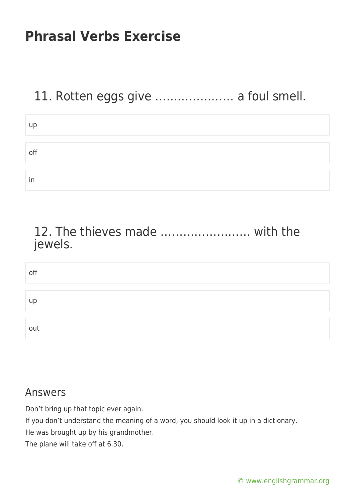### 11. Rotten eggs give ………………… a foul smell.

| up  |  |  |
|-----|--|--|
|     |  |  |
| off |  |  |
|     |  |  |
|     |  |  |
| in  |  |  |

#### 12. The thieves made …………………… with the jewels.

| off |  |  |
|-----|--|--|
|     |  |  |
| up  |  |  |
|     |  |  |
| out |  |  |

#### Answers

Don't bring up that topic ever again.

If you don't understand the meaning of a word, you should look it up in a dictionary.

He was brought up by his grandmother.

The plane will take off at 6.30.